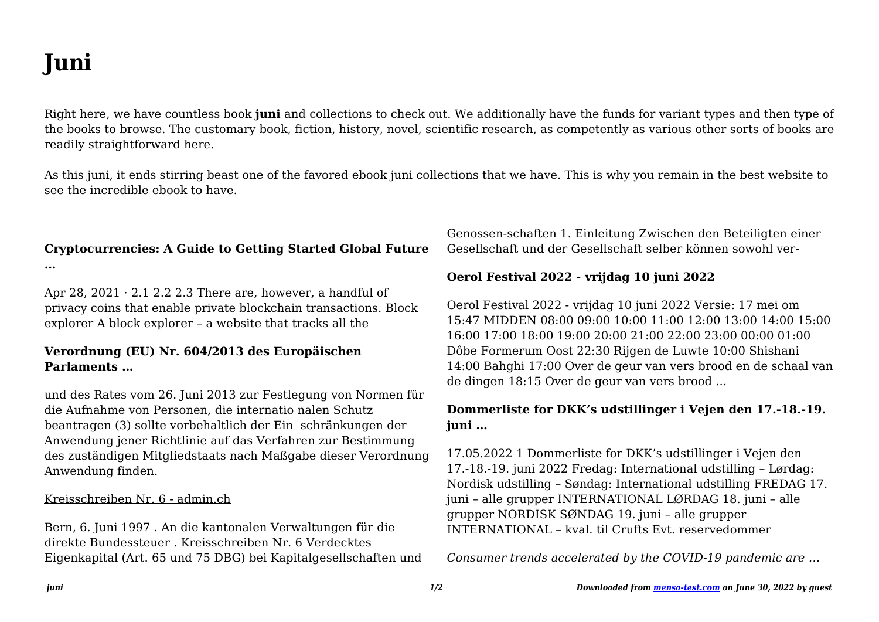# **Juni**

Right here, we have countless book **juni** and collections to check out. We additionally have the funds for variant types and then type of the books to browse. The customary book, fiction, history, novel, scientific research, as competently as various other sorts of books are readily straightforward here.

As this juni, it ends stirring beast one of the favored ebook juni collections that we have. This is why you remain in the best website to see the incredible ebook to have.

# **Cryptocurrencies: A Guide to Getting Started Global Future**

**…**

Apr 28,  $2021 \cdot 2.1$  2.2 2.3 There are, however, a handful of privacy coins that enable private blockchain transactions. Block explorer A block explorer – a website that tracks all the

## **Verordnung (EU) Nr. 604/2013 des Europäischen Parlaments …**

und des Rates vom 26. Juni 2013 zur Festlegung von Normen für die Aufnahme von Personen, die internatio nalen Schutz beantragen (3) sollte vorbehaltlich der Ein schränkungen der Anwendung jener Richtlinie auf das Verfahren zur Bestimmung des zuständigen Mitgliedstaats nach Maßgabe dieser Verordnung Anwendung finden.

#### Kreisschreiben Nr. 6 - admin.ch

Bern, 6. Juni 1997 . An die kantonalen Verwaltungen für die direkte Bundessteuer . Kreisschreiben Nr. 6 Verdecktes Eigenkapital (Art. 65 und 75 DBG) bei Kapitalgesellschaften und Genossen-schaften 1. Einleitung Zwischen den Beteiligten einer Gesellschaft und der Gesellschaft selber können sowohl ver-

## **Oerol Festival 2022 - vrijdag 10 juni 2022**

Oerol Festival 2022 - vrijdag 10 juni 2022 Versie: 17 mei om 15:47 MIDDEN 08:00 09:00 10:00 11:00 12:00 13:00 14:00 15:00 16:00 17:00 18:00 19:00 20:00 21:00 22:00 23:00 00:00 01:00 Dôbe Formerum Oost 22:30 Rijgen de Luwte 10:00 Shishani 14:00 Bahghi 17:00 Over de geur van vers brood en de schaal van de dingen 18:15 Over de geur van vers brood ...

# **Dommerliste for DKK's udstillinger i Vejen den 17.-18.-19. juni …**

17.05.2022 1 Dommerliste for DKK's udstillinger i Vejen den 17.-18.-19. juni 2022 Fredag: International udstilling – Lørdag: Nordisk udstilling – Søndag: International udstilling FREDAG 17. juni – alle grupper INTERNATIONAL LØRDAG 18. juni – alle grupper NORDISK SØNDAG 19. juni – alle grupper INTERNATIONAL – kval. til Crufts Evt. reservedommer

*Consumer trends accelerated by the COVID-19 pandemic are …*